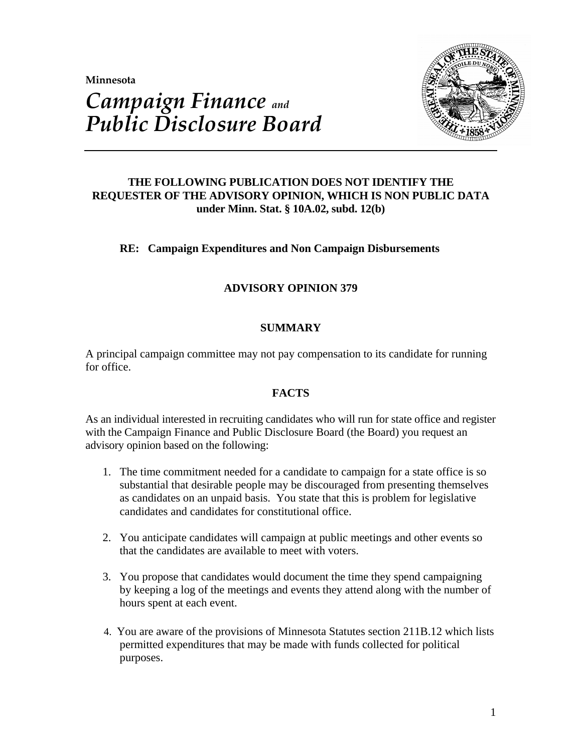**Minnesota** 



# *Campaign Finance and Public Disclosure Board*

## **THE FOLLOWING PUBLICATION DOES NOT IDENTIFY THE REQUESTER OF THE ADVISORY OPINION, WHICH IS NON PUBLIC DATA under Minn. Stat. § 10A.02, subd. 12(b)**

## **RE: Campaign Expenditures and Non Campaign Disbursements**

## **ADVISORY OPINION 379**

## **SUMMARY**

A principal campaign committee may not pay compensation to its candidate for running for office.

## **FACTS**

As an individual interested in recruiting candidates who will run for state office and register with the Campaign Finance and Public Disclosure Board (the Board) you request an advisory opinion based on the following:

- 1. The time commitment needed for a candidate to campaign for a state office is so substantial that desirable people may be discouraged from presenting themselves as candidates on an unpaid basis. You state that this is problem for legislative candidates and candidates for constitutional office.
- 2. You anticipate candidates will campaign at public meetings and other events so that the candidates are available to meet with voters.
- 3. You propose that candidates would document the time they spend campaigning by keeping a log of the meetings and events they attend along with the number of hours spent at each event.
- 4. You are aware of the provisions of Minnesota Statutes section 211B.12 which lists permitted expenditures that may be made with funds collected for political purposes.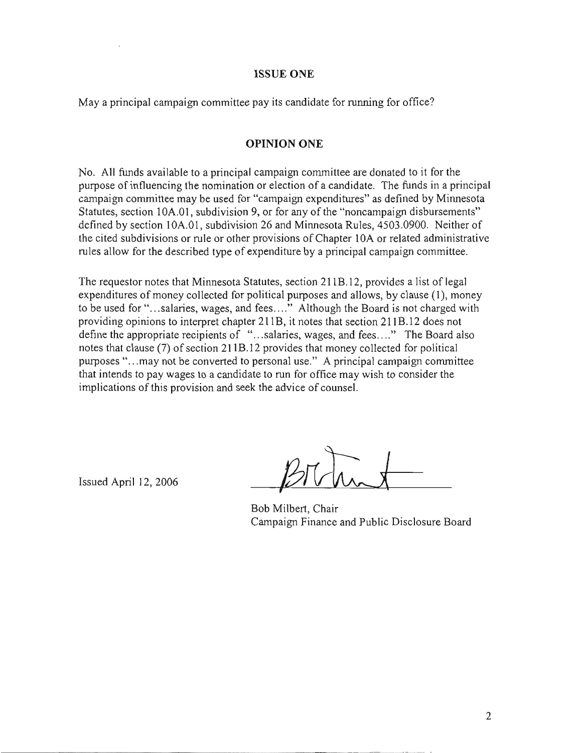#### **ISSUE ONE**

May a principal campaign committee pay its candidate for running for office?

#### **OPINION ONE**

No. All funds available to a principal campaign committee are donated to it for the purpose of influencing the nomination or election of a candidate. The funds in a principal campaign committee may be used for "campaign expenditures" as defined by Minnesota Statutes, section 10A.01, subdivision 9, or for any of the "noncampaign disbursements" defined by section 10A.01, subdivision 26 and Minnesota Rules, 4503.0900. Neither of the cited subdivisions or rule or other provisions of Chapter 10A or related administrative rules allow for the described type of expenditure by a principal campaign committee.

The requestor notes that Minnesota Statutes, section 211B.12, provides a list of legal expenditures of money collected for political purposes and allows, by clause (1), money to be used for "...salaries, wages, and fees...." Although the Board is not charged with providing opinions to interpret chapter 211B, it notes that section 211B.12 does not define the appropriate recipients of "...salaries, wages, and fees...." The Board also notes that clause (7) of section 211B.12 provides that money collected for political purposes "...may not be converted to personal use." A principal campaign committee that intends to pay wages to a candidate to run for office may wish to consider the implications of this provision and seek the advice of counsel.

Issued April 12, 2006

Bob Milbert, Chair Campaign Finance and Public Disclosure Board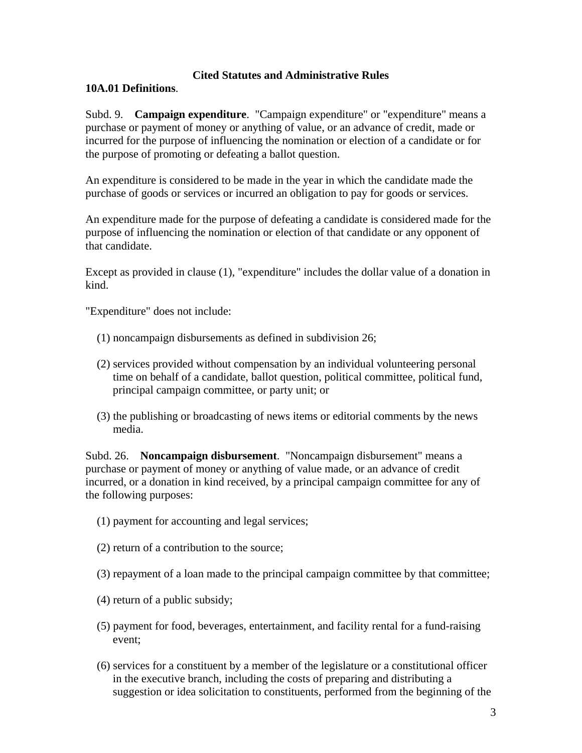## **Cited Statutes and Administrative Rules**

## **10A.01 Definitions**.

Subd. 9. **Campaign expenditure**. "Campaign expenditure" or "expenditure" means a purchase or payment of money or anything of value, or an advance of credit, made or incurred for the purpose of influencing the nomination or election of a candidate or for the purpose of promoting or defeating a ballot question.

An expenditure is considered to be made in the year in which the candidate made the purchase of goods or services or incurred an obligation to pay for goods or services.

An expenditure made for the purpose of defeating a candidate is considered made for the purpose of influencing the nomination or election of that candidate or any opponent of that candidate.

Except as provided in clause (1), "expenditure" includes the dollar value of a donation in kind.

"Expenditure" does not include:

- (1) noncampaign disbursements as defined in subdivision 26;
- (2) services provided without compensation by an individual volunteering personal time on behalf of a candidate, ballot question, political committee, political fund, principal campaign committee, or party unit; or
- (3) the publishing or broadcasting of news items or editorial comments by the news media.

Subd. 26. **Noncampaign disbursement**. "Noncampaign disbursement" means a purchase or payment of money or anything of value made, or an advance of credit incurred, or a donation in kind received, by a principal campaign committee for any of the following purposes:

(1) payment for accounting and legal services;

(2) return of a contribution to the source;

- (3) repayment of a loan made to the principal campaign committee by that committee;
- (4) return of a public subsidy;
- (5) payment for food, beverages, entertainment, and facility rental for a fund-raising event;
- (6) services for a constituent by a member of the legislature or a constitutional officer in the executive branch, including the costs of preparing and distributing a suggestion or idea solicitation to constituents, performed from the beginning of the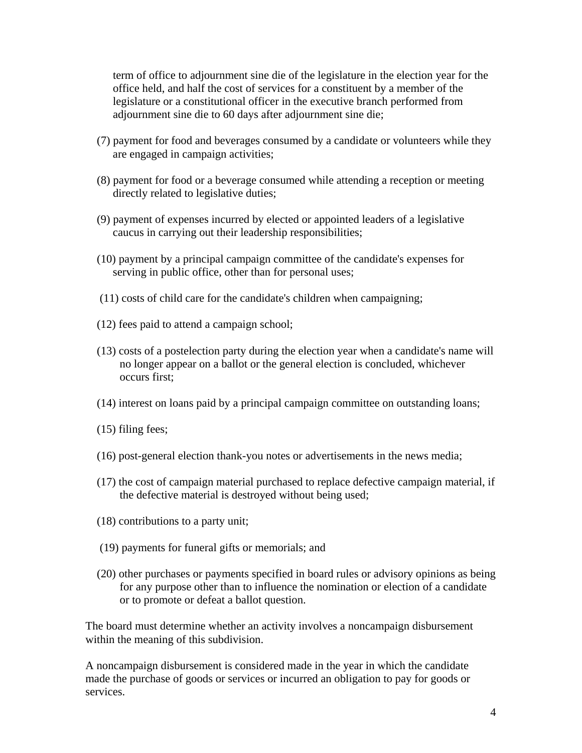term of office to adjournment sine die of the legislature in the election year for the office held, and half the cost of services for a constituent by a member of the legislature or a constitutional officer in the executive branch performed from adjournment sine die to 60 days after adjournment sine die;

- (7) payment for food and beverages consumed by a candidate or volunteers while they are engaged in campaign activities;
- (8) payment for food or a beverage consumed while attending a reception or meeting directly related to legislative duties;
- (9) payment of expenses incurred by elected or appointed leaders of a legislative caucus in carrying out their leadership responsibilities;
- (10) payment by a principal campaign committee of the candidate's expenses for serving in public office, other than for personal uses;
- (11) costs of child care for the candidate's children when campaigning;
- (12) fees paid to attend a campaign school;
- (13) costs of a postelection party during the election year when a candidate's name will no longer appear on a ballot or the general election is concluded, whichever occurs first;
- (14) interest on loans paid by a principal campaign committee on outstanding loans;
- (15) filing fees;
- (16) post-general election thank-you notes or advertisements in the news media;
- (17) the cost of campaign material purchased to replace defective campaign material, if the defective material is destroyed without being used;
- (18) contributions to a party unit;
- (19) payments for funeral gifts or memorials; and
- (20) other purchases or payments specified in board rules or advisory opinions as being for any purpose other than to influence the nomination or election of a candidate or to promote or defeat a ballot question.

The board must determine whether an activity involves a noncampaign disbursement within the meaning of this subdivision.

A noncampaign disbursement is considered made in the year in which the candidate made the purchase of goods or services or incurred an obligation to pay for goods or services.